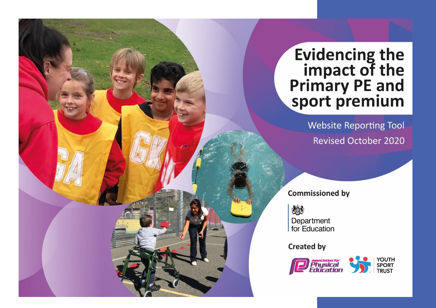## **Evidencing the<br>impact of the<br>Primary PE and<br>sport premium**

**Website Reporting Tool Revised October 2020** 

**Commissioned by** 

怨 Department for Education

**Created by** 

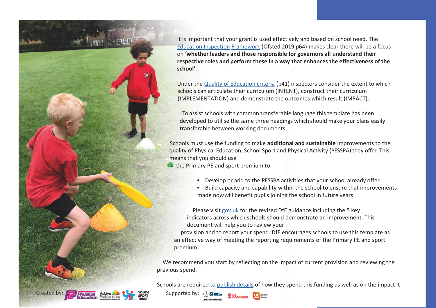

It is important that your grant is used effectively and based on school need. The Education Inspection Framework (Ofsted 2019 p64) makes clear there will be a focus on **'whether leaders and those responsible for governors all understand their respective roles and perform these in a way that enhances the effectiveness of the school'**.

Under the Quality of Education criteria (p41) inspectors consider the extent to which schools can articulate their curriculum (INTENT), construct their curriculum (IMPLEMENTATION) and demonstrate the outcomes which result (IMPACT).

To assist schools with common transferable language this template has been developed to utilise the same three headings which should make your plans easily transferable between working documents.

Schools must use the funding to make **additional and sustainable** improvements to the quality of Physical Education, School Sport and Physical Activity (PESSPA) they offer. This means that you should use

the Primary PE and sport premium to:

- Develop or add to the PESSPA activities that your school already offer
- Build capacity and capability within the school to ensure that improvements made nowwill benefit pupils joining the school in future years

Please visit gov.uk for the revised DfE guidance including the 5 key indicators across which schools should demonstrate an improvement. This document will help you to review your

provision and to report your spend. DfE encourages schools to use this template as an effective way of meeting the reporting requirements of the Primary PE and sport premium.

We recommend you start by reflecting on the impact of current provision and reviewing the previous spend.

Schools are required to publish details of how they spend this funding as well as on the impact it



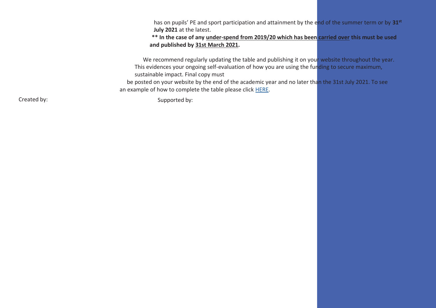has on pupils' PE and sport participation and attainment by the end of the summer term or by **31st July 2021** at the latest.

**\*\* In the case of any under-spend from 2019/20 which has been carried over this must be used and published by 31st March 2021.**

We recommend regularly updating the table and publishing it on your website throughout the year. This evidences your ongoing self-evaluation of how you are using the funding to secure maximum, sustainable impact. Final copy must

be posted on your website by the end of the academic year and no later than the 31st July 2021. To see an example of how to complete the table please click HERE.

Created by: Supported by: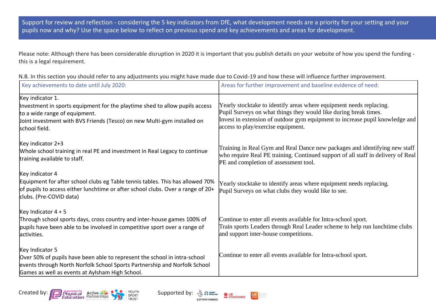Support for review and reflection - considering the 5 key indicators from DfE, what development needs are a priority for your setting and your pupils now and why? Use the space below to reflect on previous spend and key achievements and areas for development.

Please note: Although there has been considerable disruption in 2020 it is important that you publish details on your website of how you spend the funding this is a legal requirement.

| Key achievements to date until July 2020:                                                                                                                                                                                    | Areas for further improvement and baseline evidence of need:                                                                                                                                                                                                  |
|------------------------------------------------------------------------------------------------------------------------------------------------------------------------------------------------------------------------------|---------------------------------------------------------------------------------------------------------------------------------------------------------------------------------------------------------------------------------------------------------------|
| Key indicator 1.<br>Investment in sports equipment for the playtime shed to allow pupils access<br>to a wide range of equipment.<br>Joint investment with BVS Friends (Tesco) on new Multi-gym installed on<br>school field. | Yearly stocktake to identify areas where equipment needs replacing.<br>Pupil Surveys on what things they would like during break times.<br>Invest in extension of outdoor gym equipment to increase pupil knowledge and<br>access to play/exercise equipment. |
| Key indicator $2+3$<br>Whole school training in real PE and investment in Real Legacy to continue<br>training available to staff.                                                                                            | Training in Real Gym and Real Dance new packages and identifying new staff<br>who require Real PE training. Continued support of all staff in delivery of Real<br>PE and completion of assessment tool.                                                       |
| Key indicator 4<br>Equipment for after school clubs eg Table tennis tables. This has allowed 70%<br>of pupils to access either lunchtime or after school clubs. Over a range of 20+<br>clubs. (Pre-COVID data)               | Yearly stocktake to identify areas where equipment needs replacing.<br>Pupil Surveys on what clubs they would like to see.                                                                                                                                    |
| Key Indicator $4 + 5$<br>Through school sports days, cross country and inter-house games 100% of<br>pupils have been able to be involved in competitive sport over a range of<br>activities.                                 | Continue to enter all events available for Intra-school sport.<br>Train sports Leaders through Real Leader scheme to help run lunchtime clubs<br>and support inter-house competitions.                                                                        |
| Key Indicator 5<br>Over 50% of pupils have been able to represent the school in intra-school<br>events through North Norfolk School Sports Partnership and Norfolk School<br>Games as well as events at Aylsham High School. | Continue to enter all events available for Intra-school sport.                                                                                                                                                                                                |

N.B. In this section you should refer to any adjustments you might have made due to Covid-19 and how these will influence further improvement.





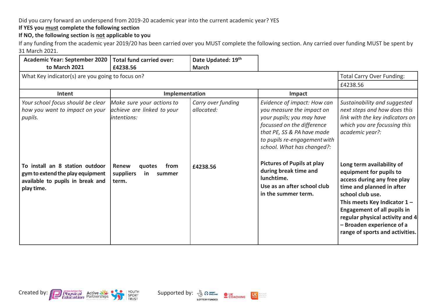## Did you carry forward an underspend from 2019-20 academic year into the current academic year? YES

**If YES you must complete the following section**

**If NO, the following section is not applicable to you**

If any funding from the academic year 2019/20 has been carried over you MUST complete the following section. Any carried over funding MUST be spent by 31 March 2021.

| <b>Academic Year: September 2020</b><br>to March 2021                                                                 | <b>Total fund carried over:</b><br>£4238.56                             | Date Updated: 19th<br><b>March</b> |                                                                                                                                                                                                                 |                                                                                                                                                                                                                                                                                                                 |
|-----------------------------------------------------------------------------------------------------------------------|-------------------------------------------------------------------------|------------------------------------|-----------------------------------------------------------------------------------------------------------------------------------------------------------------------------------------------------------------|-----------------------------------------------------------------------------------------------------------------------------------------------------------------------------------------------------------------------------------------------------------------------------------------------------------------|
| What Key indicator(s) are you going to focus on?                                                                      | <b>Total Carry Over Funding:</b>                                        |                                    |                                                                                                                                                                                                                 |                                                                                                                                                                                                                                                                                                                 |
|                                                                                                                       |                                                                         |                                    |                                                                                                                                                                                                                 | £4238.56                                                                                                                                                                                                                                                                                                        |
| Intent                                                                                                                | Implementation                                                          |                                    | Impact                                                                                                                                                                                                          |                                                                                                                                                                                                                                                                                                                 |
| Your school focus should be clear<br>how you want to impact on your<br>pupils.                                        | Make sure your actions to<br>achieve are linked to your<br>lintentions: | Carry over funding<br>allocated:   | Evidence of impact: How can<br>you measure the impact on<br>your pupils; you may have<br>focussed on the difference<br>that PE, SS & PA have made<br>to pupils re-engagement with<br>school. What has changed?: | Sustainability and suggested<br>next steps and how does this<br>link with the key indicators on<br>which you are focussing this<br>academic year?:                                                                                                                                                              |
| To install an 8 station outdoor<br>gym to extend the play equipment<br>available to pupils in break and<br>play time. | <b>Renew</b><br>from<br>quotes<br>suppliers<br>in<br>summer<br>term.    | £4238.56                           | <b>Pictures of Pupils at play</b><br>during break time and<br>lunchtime.<br>Use as an after school club<br>in the summer term.                                                                                  | Long term availability of<br>equipment for pupils to<br>access during any free play<br>time and planned in after<br>school club use.<br>This meets Key Indicator $1 -$<br><b>Engagement of all pupils in</b><br>regular physical activity and 4<br>- Broaden experience of a<br>range of sports and activities. |

 $\bullet$  UK<br>COACHING

**LOTTERY FUNDED** 

**US** 

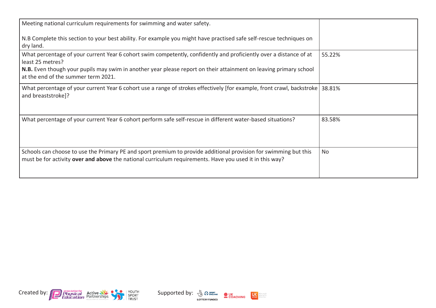| Meeting national curriculum requirements for swimming and water safety.                                                                                                                                                     |        |
|-----------------------------------------------------------------------------------------------------------------------------------------------------------------------------------------------------------------------------|--------|
| N.B Complete this section to your best ability. For example you might have practised safe self-rescue techniques on<br>dry land.                                                                                            |        |
| What percentage of your current Year 6 cohort swim competently, confidently and proficiently over a distance of at<br>least 25 metres?                                                                                      | 55.22% |
| N.B. Even though your pupils may swim in another year please report on their attainment on leaving primary school<br>at the end of the summer term 2021.                                                                    |        |
| What percentage of your current Year 6 cohort use a range of strokes effectively [for example, front crawl, backstroke   38.81%<br>and breaststroke]?                                                                       |        |
| What percentage of your current Year 6 cohort perform safe self-rescue in different water-based situations?                                                                                                                 | 83.58% |
| Schools can choose to use the Primary PE and sport premium to provide additional provision for swimming but this<br>must be for activity over and above the national curriculum requirements. Have you used it in this way? | No     |





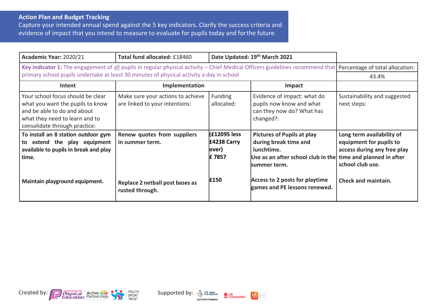## **Action Plan and Budget Tracking**

Capture your intended annual spend against the 5 key indicators. Clarify the success criteria and evidence of impact that you intend to measure to evaluate for pupils today and for the future.

| Academic Year: 2020/21                                                                                                                                                  | Total fund allocated: £18460                                        | Date Updated: 19th March 2021                  |                                                                                                                                                          |                                                                                                         |
|-------------------------------------------------------------------------------------------------------------------------------------------------------------------------|---------------------------------------------------------------------|------------------------------------------------|----------------------------------------------------------------------------------------------------------------------------------------------------------|---------------------------------------------------------------------------------------------------------|
| Key indicator 1: The engagement of all pupils in regular physical activity – Chief Medical Officers guidelines recommend that Percentage of total allocation:           |                                                                     |                                                |                                                                                                                                                          |                                                                                                         |
| primary school pupils undertake at least 30 minutes of physical activity a day in school                                                                                |                                                                     |                                                |                                                                                                                                                          | 43.4%                                                                                                   |
| Intent                                                                                                                                                                  | Implementation                                                      |                                                | <b>Impact</b>                                                                                                                                            |                                                                                                         |
| Your school focus should be clear<br>what you want the pupils to know<br>and be able to do and about<br>what they need to learn and to<br>consolidate through practice: | Make sure your actions to achieve<br>are linked to your intentions: | <b>Funding</b><br>allocated:                   | Evidence of impact: what do<br>pupils now know and what<br>can they now do? What has<br>changed?:                                                        | Sustainability and suggested<br>next steps:                                                             |
| To install an 8 station outdoor gym<br>extend the play equipment<br>to<br>available to pupils in break and play<br>time.                                                | Renew quotes from suppliers<br>in summer term.                      | (£12095 less<br>£4238 Carry<br>lover)<br>£7857 | <b>Pictures of Pupils at play</b><br>during break time and<br>lunchtime.<br>Use as an after school club in the time and planned in after<br>summer term. | Long term availability of<br>equipment for pupils to<br>access during any free play<br>school club use. |
| Maintain playground equipment.                                                                                                                                          | Replace 2 netball post bases as<br>rusted through.                  | £150                                           | Access to 2 posts for playtime<br>games and PE lessons renewed.                                                                                          | <b>Check and maintain.</b>                                                                              |





dare people<br>dare active<br>dare often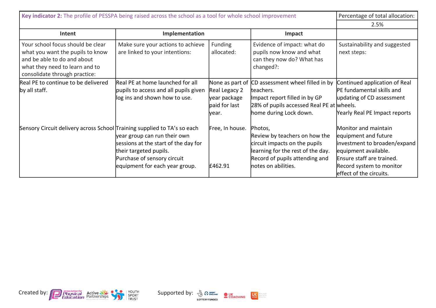| Key indicator 2: The profile of PESSPA being raised across the school as a tool for whole school improvement                                                            | Percentage of total allocation:                                                                                                                                 |                                                                             |                                                                                                                                                                         |                                                                                                                                                                                          |
|-------------------------------------------------------------------------------------------------------------------------------------------------------------------------|-----------------------------------------------------------------------------------------------------------------------------------------------------------------|-----------------------------------------------------------------------------|-------------------------------------------------------------------------------------------------------------------------------------------------------------------------|------------------------------------------------------------------------------------------------------------------------------------------------------------------------------------------|
|                                                                                                                                                                         | 2.5%                                                                                                                                                            |                                                                             |                                                                                                                                                                         |                                                                                                                                                                                          |
| Intent                                                                                                                                                                  | Implementation                                                                                                                                                  |                                                                             | Impact                                                                                                                                                                  |                                                                                                                                                                                          |
| Your school focus should be clear<br>what you want the pupils to know<br>and be able to do and about<br>what they need to learn and to<br>consolidate through practice: | Make sure your actions to achieve<br>are linked to your intentions:                                                                                             | <b>Funding</b><br>allocated:                                                | Evidence of impact: what do<br>pupils now know and what<br>can they now do? What has<br>changed?:                                                                       | Sustainability and suggested<br>next steps:                                                                                                                                              |
| Real PE to continue to be delivered<br>by all staff.                                                                                                                    | Real PE at home launched for all<br>pupils to access and all pupils given<br>log ins and shown how to use.                                                      | None as part of<br>Real Legacy 2<br>year package<br>paid for last<br>lvear. | CD assessment wheel filled in by<br>teachers.<br>Impact report filled in by GP<br>28% of pupils accessed Real PE at wheels.<br>home during Lock down.                   | Continued application of Real<br>PE fundamental skills and<br>updating of CD assessment<br>Yearly Real PE Impact reports                                                                 |
| Sensory Circuit delivery across School Training supplied to TA's so each                                                                                                | year group can run their own<br>sessions at the start of the day for<br>their targeted pupils.<br>Purchase of sensory circuit<br>equipment for each year group. | Free, In house.<br>£462.91                                                  | Photos,<br>Review by teachers on how the<br>circuit impacts on the pupils<br>learning for the rest of the day.<br>Record of pupils attending and<br>notes on abilities. | Monitor and maintain<br>equipment and future<br>investment to broaden/expand<br>equipment available.<br>Ensure staff are trained.<br>Record system to monitor<br>effect of the circuits. |



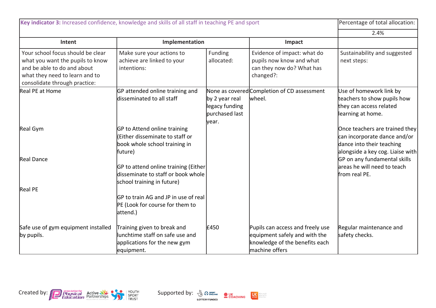| Key indicator 3: Increased confidence, knowledge and skills of all staff in teaching PE and sport                                                                       |                                                                                                              |                                                              |                                                                                                                       | Percentage of total allocation:                                                                                                 |
|-------------------------------------------------------------------------------------------------------------------------------------------------------------------------|--------------------------------------------------------------------------------------------------------------|--------------------------------------------------------------|-----------------------------------------------------------------------------------------------------------------------|---------------------------------------------------------------------------------------------------------------------------------|
|                                                                                                                                                                         |                                                                                                              |                                                              |                                                                                                                       | 2.4%                                                                                                                            |
| Intent                                                                                                                                                                  | Implementation                                                                                               |                                                              | Impact                                                                                                                |                                                                                                                                 |
| Your school focus should be clear<br>what you want the pupils to know<br>and be able to do and about<br>what they need to learn and to<br>consolidate through practice: | Make sure your actions to<br>achieve are linked to your<br>intentions:                                       | Funding<br>allocated:                                        | Evidence of impact: what do<br>pupils now know and what<br>can they now do? What has<br>changed?:                     | Sustainability and suggested<br>next steps:                                                                                     |
| Real PE at Home                                                                                                                                                         | GP attended online training and<br>disseminated to all staff                                                 | by 2 year real<br>legacy funding<br>purchased last<br>lyear. | None as covered Completion of CD assessment<br>wheel.                                                                 | Use of homework link by<br>teachers to show pupils how<br>they can access related<br>learning at home.                          |
| Real Gym                                                                                                                                                                | GP to Attend online training<br>(Either disseminate to staff or<br>book whole school training in<br>future)  |                                                              |                                                                                                                       | Once teachers are trained they<br>can incorporate dance and/or<br>dance into their teaching<br>alongside a key cog. Liaise with |
| <b>Real Dance</b>                                                                                                                                                       | GP to attend online training (Either<br>disseminate to staff or book whole<br>school training in future)     |                                                              |                                                                                                                       | GP on any fundamental skills<br>areas he will need to teach<br>from real PE.                                                    |
| <b>Real PE</b>                                                                                                                                                          | <b>IGP</b> to train AG and JP in use of real<br>PE (Look for course for them to<br>attend.)                  |                                                              |                                                                                                                       |                                                                                                                                 |
| Safe use of gym equipment installed<br>by pupils.                                                                                                                       | Training given to break and<br>lunchtime staff on safe use and<br>applications for the new gym<br>equipment. | £450                                                         | Pupils can access and freely use<br>equipment safely and with the<br>knowledge of the benefits each<br>machine offers | Regular maintenance and<br>safety checks.                                                                                       |



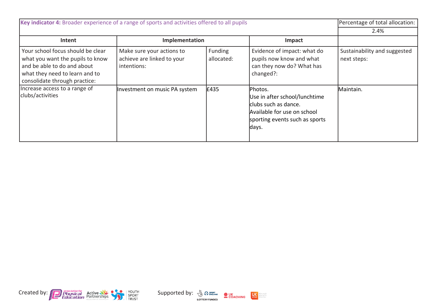| Key indicator 4: Broader experience of a range of sports and activities offered to all pupils                                                                           |                                                                        |                              |                                                                                                                                            | Percentage of total allocation:             |
|-------------------------------------------------------------------------------------------------------------------------------------------------------------------------|------------------------------------------------------------------------|------------------------------|--------------------------------------------------------------------------------------------------------------------------------------------|---------------------------------------------|
|                                                                                                                                                                         | 2.4%                                                                   |                              |                                                                                                                                            |                                             |
| Intent                                                                                                                                                                  | Implementation                                                         |                              | Impact                                                                                                                                     |                                             |
| Your school focus should be clear<br>what you want the pupils to know<br>and be able to do and about<br>what they need to learn and to<br>consolidate through practice: | Make sure your actions to<br>achieve are linked to your<br>intentions: | <b>Funding</b><br>allocated: | Evidence of impact: what do<br>pupils now know and what<br>can they now do? What has<br>changed?:                                          | Sustainability and suggested<br>next steps: |
| Increase access to a range of<br>clubs/activities                                                                                                                       | Investment on music PA system                                          | £435                         | Photos.<br>Use in after school/lunchtime<br>clubs such as dance.<br>Available for use on school<br>sporting events such as sports<br>days. | Maintain.                                   |